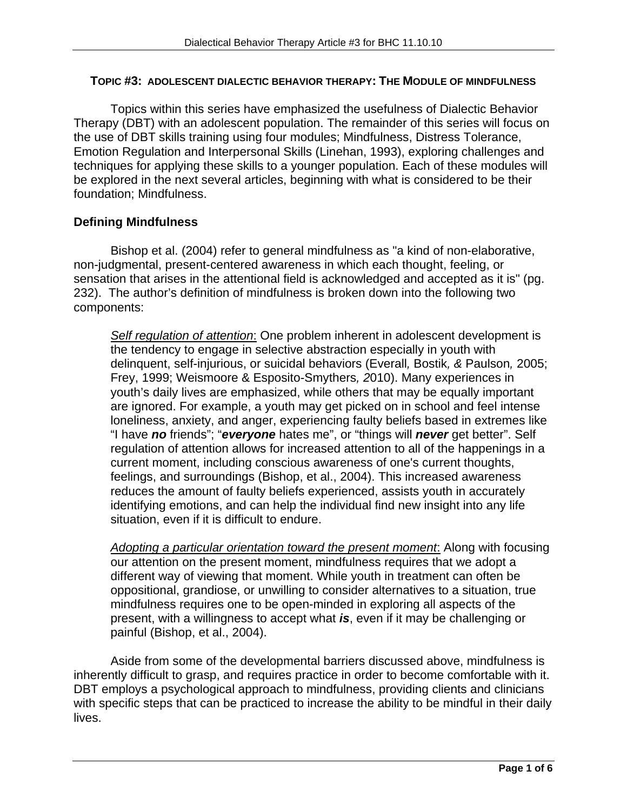#### **TOPIC #3: ADOLESCENT DIALECTIC BEHAVIOR THERAPY: THE MODULE OF MINDFULNESS**

Topics within this series have emphasized the usefulness of Dialectic Behavior Therapy (DBT) with an adolescent population. The remainder of this series will focus on the use of DBT skills training using four modules; Mindfulness, Distress Tolerance, Emotion Regulation and Interpersonal Skills (Linehan, 1993), exploring challenges and techniques for applying these skills to a younger population. Each of these modules will be explored in the next several articles, beginning with what is considered to be their foundation; Mindfulness.

## **Defining Mindfulness**

Bishop et al. (2004) refer to general mindfulness as "a kind of non-elaborative, non-judgmental, present-centered awareness in which each thought, feeling, or sensation that arises in the attentional field is acknowledged and accepted as it is" (pg. 232). The author's definition of mindfulness is broken down into the following two components:

*Self regulation of attention*: One problem inherent in adolescent development is the tendency to engage in selective abstraction especially in youth with delinquent, self-injurious, or suicidal behaviors (Everall*,* Bostik*, &* Paulson*,* 2005; Frey, 1999; Weismoore & Esposito-Smythers*, 2*010). Many experiences in youth's daily lives are emphasized, while others that may be equally important are ignored. For example, a youth may get picked on in school and feel intense loneliness, anxiety, and anger, experiencing faulty beliefs based in extremes like "I have *no* friends"; "*everyone* hates me", or "things will *never* get better". Self regulation of attention allows for increased attention to all of the happenings in a current moment, including conscious awareness of one's current thoughts, feelings, and surroundings (Bishop, et al., 2004). This increased awareness reduces the amount of faulty beliefs experienced, assists youth in accurately identifying emotions, and can help the individual find new insight into any life situation, even if it is difficult to endure.

*Adopting a particular orientation toward the present moment*: Along with focusing our attention on the present moment, mindfulness requires that we adopt a different way of viewing that moment. While youth in treatment can often be oppositional, grandiose, or unwilling to consider alternatives to a situation, true mindfulness requires one to be open-minded in exploring all aspects of the present, with a willingness to accept what *is*, even if it may be challenging or painful (Bishop, et al., 2004).

Aside from some of the developmental barriers discussed above, mindfulness is inherently difficult to grasp, and requires practice in order to become comfortable with it. DBT employs a psychological approach to mindfulness, providing clients and clinicians with specific steps that can be practiced to increase the ability to be mindful in their daily lives.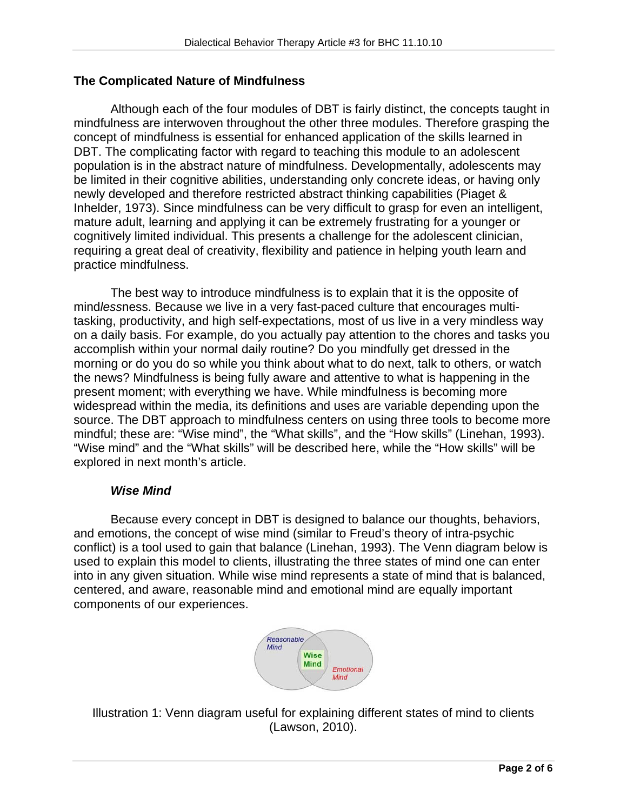### **The Complicated Nature of Mindfulness**

Although each of the four modules of DBT is fairly distinct, the concepts taught in mindfulness are interwoven throughout the other three modules. Therefore grasping the concept of mindfulness is essential for enhanced application of the skills learned in DBT. The complicating factor with regard to teaching this module to an adolescent population is in the abstract nature of mindfulness. Developmentally, adolescents may be limited in their cognitive abilities, understanding only concrete ideas, or having only newly developed and therefore restricted abstract thinking capabilities (Piaget & Inhelder, 1973). Since mindfulness can be very difficult to grasp for even an intelligent, mature adult, learning and applying it can be extremely frustrating for a younger or cognitively limited individual. This presents a challenge for the adolescent clinician, requiring a great deal of creativity, flexibility and patience in helping youth learn and practice mindfulness.

The best way to introduce mindfulness is to explain that it is the opposite of mind*less*ness. Because we live in a very fast-paced culture that encourages multitasking, productivity, and high self-expectations, most of us live in a very mindless way on a daily basis. For example, do you actually pay attention to the chores and tasks you accomplish within your normal daily routine? Do you mindfully get dressed in the morning or do you do so while you think about what to do next, talk to others, or watch the news? Mindfulness is being fully aware and attentive to what is happening in the present moment; with everything we have. While mindfulness is becoming more widespread within the media, its definitions and uses are variable depending upon the source. The DBT approach to mindfulness centers on using three tools to become more mindful; these are: "Wise mind", the "What skills", and the "How skills" (Linehan, 1993). "Wise mind" and the "What skills" will be described here, while the "How skills" will be explored in next month's article.

### *Wise Mind*

Because every concept in DBT is designed to balance our thoughts, behaviors, and emotions, the concept of wise mind (similar to Freud's theory of intra-psychic conflict) is a tool used to gain that balance (Linehan, 1993). The Venn diagram below is used to explain this model to clients, illustrating the three states of mind one can enter into in any given situation. While wise mind represents a state of mind that is balanced, centered, and aware, reasonable mind and emotional mind are equally important components of our experiences.



Illustration 1: Venn diagram useful for explaining different states of mind to clients (Lawson, 2010).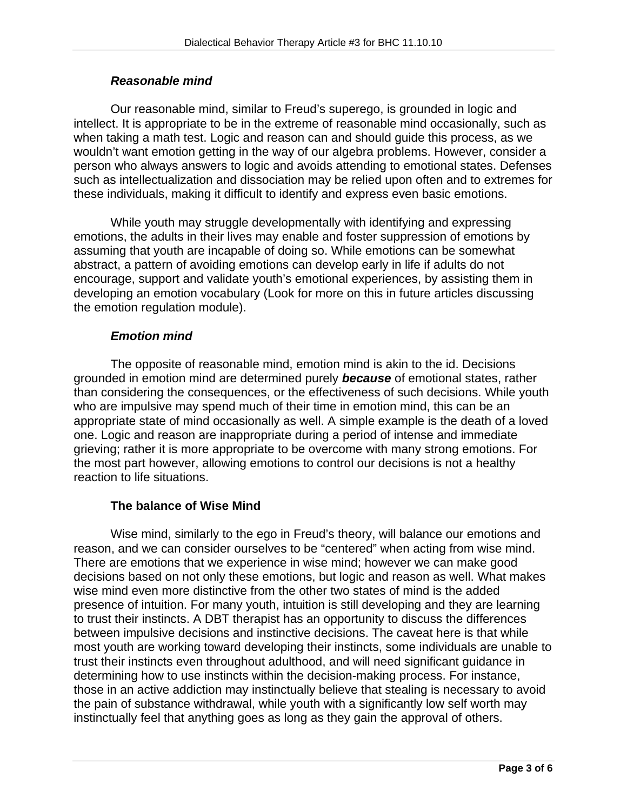## *Reasonable mind*

Our reasonable mind, similar to Freud's superego, is grounded in logic and intellect. It is appropriate to be in the extreme of reasonable mind occasionally, such as when taking a math test. Logic and reason can and should guide this process, as we wouldn't want emotion getting in the way of our algebra problems. However, consider a person who always answers to logic and avoids attending to emotional states. Defenses such as intellectualization and dissociation may be relied upon often and to extremes for these individuals, making it difficult to identify and express even basic emotions.

While youth may struggle developmentally with identifying and expressing emotions, the adults in their lives may enable and foster suppression of emotions by assuming that youth are incapable of doing so. While emotions can be somewhat abstract, a pattern of avoiding emotions can develop early in life if adults do not encourage, support and validate youth's emotional experiences, by assisting them in developing an emotion vocabulary (Look for more on this in future articles discussing the emotion regulation module).

# *Emotion mind*

The opposite of reasonable mind, emotion mind is akin to the id. Decisions grounded in emotion mind are determined purely *because* of emotional states, rather than considering the consequences, or the effectiveness of such decisions. While youth who are impulsive may spend much of their time in emotion mind, this can be an appropriate state of mind occasionally as well. A simple example is the death of a loved one. Logic and reason are inappropriate during a period of intense and immediate grieving; rather it is more appropriate to be overcome with many strong emotions. For the most part however, allowing emotions to control our decisions is not a healthy reaction to life situations.

# **The balance of Wise Mind**

Wise mind, similarly to the ego in Freud's theory, will balance our emotions and reason, and we can consider ourselves to be "centered" when acting from wise mind. There are emotions that we experience in wise mind; however we can make good decisions based on not only these emotions, but logic and reason as well. What makes wise mind even more distinctive from the other two states of mind is the added presence of intuition. For many youth, intuition is still developing and they are learning to trust their instincts. A DBT therapist has an opportunity to discuss the differences between impulsive decisions and instinctive decisions. The caveat here is that while most youth are working toward developing their instincts, some individuals are unable to trust their instincts even throughout adulthood, and will need significant guidance in determining how to use instincts within the decision-making process. For instance, those in an active addiction may instinctually believe that stealing is necessary to avoid the pain of substance withdrawal, while youth with a significantly low self worth may instinctually feel that anything goes as long as they gain the approval of others.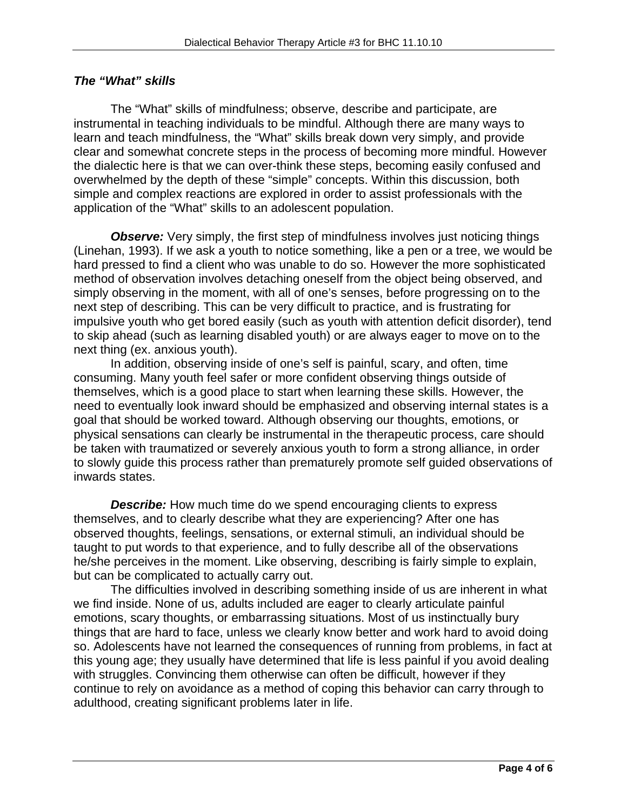## *The "What" skills*

The "What" skills of mindfulness; observe, describe and participate, are instrumental in teaching individuals to be mindful. Although there are many ways to learn and teach mindfulness, the "What" skills break down very simply, and provide clear and somewhat concrete steps in the process of becoming more mindful. However the dialectic here is that we can over-think these steps, becoming easily confused and overwhelmed by the depth of these "simple" concepts. Within this discussion, both simple and complex reactions are explored in order to assist professionals with the application of the "What" skills to an adolescent population.

**Observe:** Very simply, the first step of mindfulness involves just noticing things (Linehan, 1993). If we ask a youth to notice something, like a pen or a tree, we would be hard pressed to find a client who was unable to do so. However the more sophisticated method of observation involves detaching oneself from the object being observed, and simply observing in the moment, with all of one's senses, before progressing on to the next step of describing. This can be very difficult to practice, and is frustrating for impulsive youth who get bored easily (such as youth with attention deficit disorder), tend to skip ahead (such as learning disabled youth) or are always eager to move on to the next thing (ex. anxious youth).

In addition, observing inside of one's self is painful, scary, and often, time consuming. Many youth feel safer or more confident observing things outside of themselves, which is a good place to start when learning these skills. However, the need to eventually look inward should be emphasized and observing internal states is a goal that should be worked toward. Although observing our thoughts, emotions, or physical sensations can clearly be instrumental in the therapeutic process, care should be taken with traumatized or severely anxious youth to form a strong alliance, in order to slowly guide this process rather than prematurely promote self guided observations of inwards states.

**Describe:** How much time do we spend encouraging clients to express themselves, and to clearly describe what they are experiencing? After one has observed thoughts, feelings, sensations, or external stimuli, an individual should be taught to put words to that experience, and to fully describe all of the observations he/she perceives in the moment. Like observing, describing is fairly simple to explain, but can be complicated to actually carry out.

 The difficulties involved in describing something inside of us are inherent in what we find inside. None of us, adults included are eager to clearly articulate painful emotions, scary thoughts, or embarrassing situations. Most of us instinctually bury things that are hard to face, unless we clearly know better and work hard to avoid doing so. Adolescents have not learned the consequences of running from problems, in fact at this young age; they usually have determined that life is less painful if you avoid dealing with struggles. Convincing them otherwise can often be difficult, however if they continue to rely on avoidance as a method of coping this behavior can carry through to adulthood, creating significant problems later in life.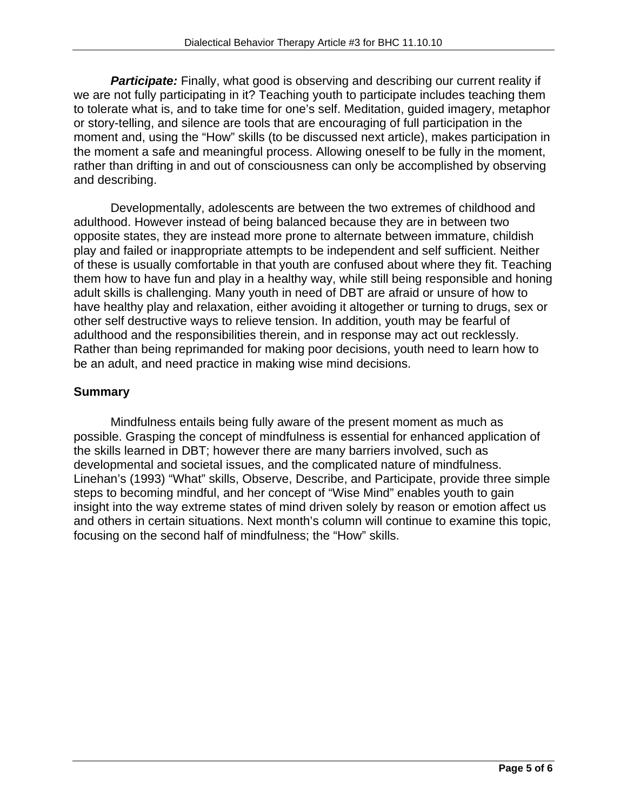**Participate:** Finally, what good is observing and describing our current reality if we are not fully participating in it? Teaching youth to participate includes teaching them to tolerate what is, and to take time for one's self. Meditation, guided imagery, metaphor or story-telling, and silence are tools that are encouraging of full participation in the moment and, using the "How" skills (to be discussed next article), makes participation in the moment a safe and meaningful process. Allowing oneself to be fully in the moment, rather than drifting in and out of consciousness can only be accomplished by observing and describing.

 Developmentally, adolescents are between the two extremes of childhood and adulthood. However instead of being balanced because they are in between two opposite states, they are instead more prone to alternate between immature, childish play and failed or inappropriate attempts to be independent and self sufficient. Neither of these is usually comfortable in that youth are confused about where they fit. Teaching them how to have fun and play in a healthy way, while still being responsible and honing adult skills is challenging. Many youth in need of DBT are afraid or unsure of how to have healthy play and relaxation, either avoiding it altogether or turning to drugs, sex or other self destructive ways to relieve tension. In addition, youth may be fearful of adulthood and the responsibilities therein, and in response may act out recklessly. Rather than being reprimanded for making poor decisions, youth need to learn how to be an adult, and need practice in making wise mind decisions.

# **Summary**

Mindfulness entails being fully aware of the present moment as much as possible. Grasping the concept of mindfulness is essential for enhanced application of the skills learned in DBT; however there are many barriers involved, such as developmental and societal issues, and the complicated nature of mindfulness. Linehan's (1993) "What" skills, Observe, Describe, and Participate, provide three simple steps to becoming mindful, and her concept of "Wise Mind" enables youth to gain insight into the way extreme states of mind driven solely by reason or emotion affect us and others in certain situations. Next month's column will continue to examine this topic, focusing on the second half of mindfulness; the "How" skills.